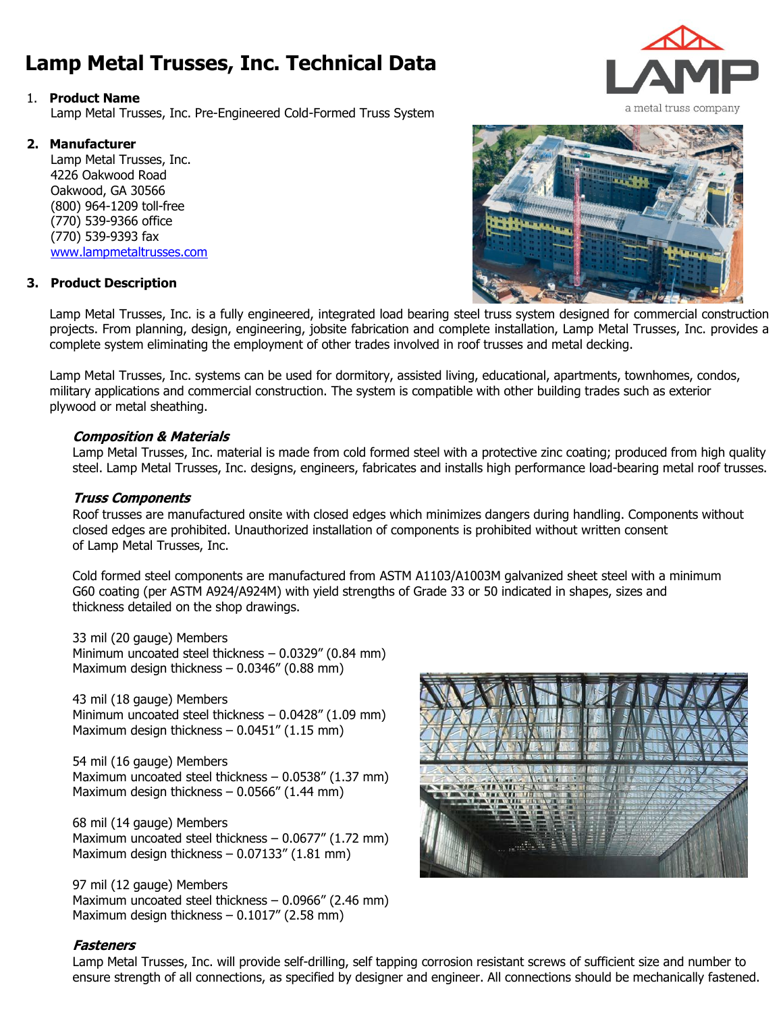# **Lamp Metal Trusses, Inc. Technical Data**

#### 1. **Product Name**

Lamp Metal Trusses, Inc. Pre-Engineered Cold-Formed Truss System

#### **2. Manufacturer**

Lamp Metal Trusses, Inc. 4226 Oakwood Road Oakwood, GA 30566 (800) 964-1209 toll-free (770) 539-9366 office (770) 539-9393 fax www.lampmetaltrusses.com

#### **3. Product Description**

Lamp Metal Trusses, Inc. is a fully engineered, integrated load bearing steel truss system designed for commercial construction projects. From planning, design, engineering, jobsite fabrication and complete installation, Lamp Metal Trusses, Inc. provides a complete system eliminating the employment of other trades involved in roof trusses and metal decking.

Lamp Metal Trusses, Inc. systems can be used for dormitory, assisted living, educational, apartments, townhomes, condos, military applications and commercial construction. The system is compatible with other building trades such as exterior plywood or metal sheathing.

# **Composition & Materials**

Lamp Metal Trusses, Inc. material is made from cold formed steel with a protective zinc coating; produced from high quality steel. Lamp Metal Trusses, Inc. designs, engineers, fabricates and installs high performance load-bearing metal roof trusses.

#### **Truss Components**

Roof trusses are manufactured onsite with closed edges which minimizes dangers during handling. Components without closed edges are prohibited. Unauthorized installation of components is prohibited without written consent of Lamp Metal Trusses, Inc.

Cold formed steel components are manufactured from ASTM A1103/A1003M galvanized sheet steel with a minimum G60 coating (per ASTM A924/A924M) with yield strengths of Grade 33 or 50 indicated in shapes, sizes and thickness detailed on the shop drawings.

33 mil (20 gauge) Members Minimum uncoated steel thickness – 0.0329" (0.84 mm) Maximum design thickness – 0.0346" (0.88 mm)

43 mil (18 gauge) Members Minimum uncoated steel thickness – 0.0428" (1.09 mm) Maximum design thickness - 0.0451" (1.15 mm)

54 mil (16 gauge) Members Maximum uncoated steel thickness – 0.0538" (1.37 mm) Maximum design thickness – 0.0566" (1.44 mm)

68 mil (14 gauge) Members Maximum uncoated steel thickness – 0.0677" (1.72 mm) Maximum design thickness – 0.07133" (1.81 mm)

97 mil (12 gauge) Members Maximum uncoated steel thickness – 0.0966" (2.46 mm) Maximum design thickness – 0.1017" (2.58 mm)

# **Fasteners**

Lamp Metal Trusses, Inc. will provide self-drilling, self tapping corrosion resistant screws of sufficient size and number to ensure strength of all connections, as specified by designer and engineer. All connections should be mechanically fastened.







a metal truss company